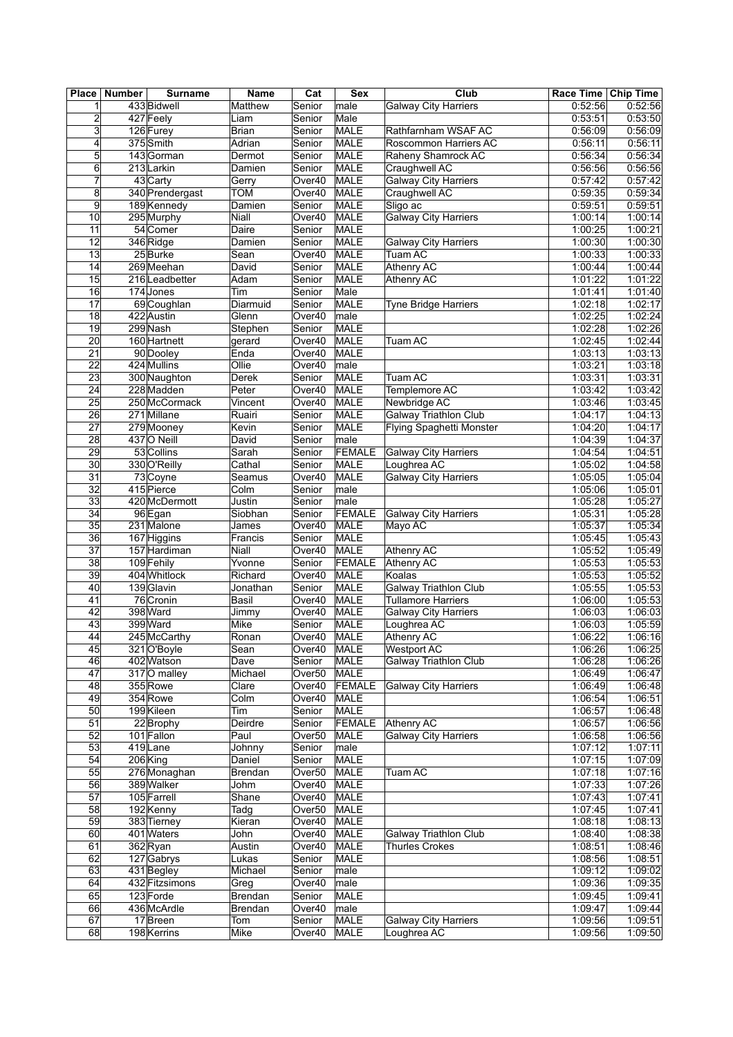| <b>Place</b>              | <b>Number</b> | <b>Surname</b>                 | Name             | Cat                          | <b>Sex</b>                 | Club                         | Race Time Chip Time |                    |
|---------------------------|---------------|--------------------------------|------------------|------------------------------|----------------------------|------------------------------|---------------------|--------------------|
| 1                         |               | 433 Bidwell                    | Matthew          | Senior                       | male                       | <b>Galway City Harriers</b>  | 0:52:56             | 0:52:56            |
| 2                         |               | 427 Feely                      | Liam             | Senior                       | Male                       |                              | 0:53:51             | 0:53:50            |
| $\overline{\overline{3}}$ |               | 126 Furey                      | Brian            | Senior                       | MALE                       | Rathfarnham WSAF AC          | 0:56:09             | 0:56:09            |
| 4                         |               | 375 Smith                      | Adrian           | Senior                       | MALE                       | Roscommon Harriers AC        | 0:56:11             | 0:56:11            |
| 5                         |               | 143 Gorman                     | Dermot           | Senior                       | MALE                       | Raheny Shamrock AC           | 0:56:34             | 0:56:34            |
| 6<br>$\overline{7}$       |               | 213 Larkin                     | Damien           | Senior                       | MALE<br>MALE               | Craughwell AC                | 0:56:56             | 0:56:56<br>0:57:42 |
|                           |               | 43 Carty                       | Gerry            | Over40                       |                            | <b>Galway City Harriers</b>  | 0:57:42             |                    |
| 8<br>$\overline{9}$       |               | 340 Prendergast<br>189 Kennedy | TOM<br>Damien    | Over40<br>Senior             | MALE<br>MALE               | Craughwell AC<br>Sligo ac    | 0:59:35<br>0:59:51  | 0:59:34<br>0:59:51 |
| 10                        |               | 295 Murphy                     | Niall            | Over40                       | MALE                       | <b>Galway City Harriers</b>  | 1:00:14             | 1:00:14            |
| 11                        |               | 54 Comer                       | Daire            | Senior                       | MALE                       |                              | 1:00:25             | 1:00:21            |
| $\overline{12}$           |               | 346 Ridge                      | Damien           | Senior                       | <b>MALE</b>                | <b>Galway City Harriers</b>  | 1:00:30             | 1:00:30            |
| 13                        |               | 25Burke                        | Sean             | Over40                       | MALE                       | Tuam AC                      | 1:00:33             | 1:00:33            |
| 14                        |               | 269 Meehan                     | David            | Senior                       | MALE                       | Athenry AC                   | 1:00:44             | 1:00:44            |
| 15                        |               | 216 Leadbetter                 | Adam             | Senior                       | MALE                       | Athenry AC                   | 1:01:22             | 1:01:22            |
| 16                        |               | 174 Jones                      | Tim              | Senior                       | Male                       |                              | 1:01:41             | 1:01:40            |
| 17                        |               | 69 Coughlan                    | Diarmuid         | Senior                       | MALE                       | Tyne Bridge Harriers         | 1:02:18             | 1:02:17            |
| 18                        |               | 422 Austin                     | Glenn            | Over40                       | $\overline{\mathsf{male}}$ |                              | 1:02:25             | 1:02:24            |
| 19                        |               | 299 Nash                       | Stephen          | Senior                       | MALE                       |                              | 1:02:28             | 1:02:26            |
| 20                        |               | 160 Hartnett                   | gerard           | Over40                       | MALE                       | Tuam AC                      | 1:02:45             | 1:02:44            |
| 21                        |               | 90 Dooley                      | Enda             | Over40                       | MALE                       |                              | 1:03:13             | 1:03:13            |
| 22                        |               | 424 Mullins                    | Ollie            | Over40                       | male                       |                              | 1:03:21             | 1:03:18            |
| $\overline{23}$           |               | 300 Naughton                   | <b>Derek</b>     | Senior                       | MALE                       | Tuam AC                      | 1:03:31             | 1:03:31            |
| 24                        |               | 228 Madden                     | Peter            | Over40                       | MALE                       | Templemore AC                | 1:03:42             | 1:03:42            |
| 25                        |               | 250 McCormack                  | Vincent          | Over40                       | MALE                       | Newbridge AC                 | 1:03:46             | 1:03:45            |
| 26                        |               | 271 Millane                    | Ruairi           | Senior                       | MALE                       | <b>Galway Triathlon Club</b> | 1:04:17             | 1:04:13            |
| $\overline{27}$           |               | 279 Mooney                     | Kevin            | Senior                       | <b>MALE</b>                | Flying Spaghetti Monster     | 1:04:20             | 1:04:17            |
| 28                        |               | 437 O Neill                    | David            | Senior                       | male                       |                              | 1:04:39             | 1:04:37            |
| 29                        |               | 53 Collins                     | Sarah            | Senior                       | FEMALE                     | <b>Galway City Harriers</b>  | 1:04:54             | 1:04:51            |
| 30                        |               | 330 O'Reilly                   | Cathal           | Senior                       | MALE                       | Loughrea AC                  | 1:05:02             | 1:04:58            |
| 31                        |               | 73 Coyne                       | Seamus           | Over40                       | MALE                       | <b>Galway City Harriers</b>  | 1:05:05             | 1:05:04            |
| 32                        |               | 415 Pierce                     | Colm             | Senior                       | male                       |                              | 1:05:06             | 1:05:01            |
| $\overline{33}$           |               | 420 McDermott                  | Justin           | Senior                       | male                       |                              | 1:05:28             | 1:05:27            |
| 34<br>$\overline{35}$     |               | 96 Egan                        | Siobhan          | Senior                       | <b>FEMALE</b>              | Galway City Harriers         | 1:05:31             | 1:05:28<br>1:05:34 |
| 36                        |               | 231 Malone<br>167 Higgins      | James<br>Francis | Over40<br>Senior             | MALE<br><b>MALE</b>        | Mayo AC                      | 1:05:37<br>1:05:45  | 1:05:43            |
| 37                        |               | 157 Hardiman                   | Niall            | Over40                       | MALE                       | Athenry AC                   | 1:05:52             | 1:05:49            |
| $\overline{38}$           |               | 109 Fehily                     | Yvonne           | Senior                       | FEMALE                     | Athenry AC                   | 1:05:53             | 1:05:53            |
| 39                        |               | 404 Whitlock                   | Richard          | Over40                       | MALE                       | Koalas                       | 1:05:53             | 1:05:52            |
| 40                        |               | 139 Glavin                     | Jonathan         | Senior                       | MALE                       | Galway Triathlon Club        | 1:05:55             | 1:05:53            |
| 41                        |               | 76 Cronin                      | Basil            | Over40                       | MALE                       | <b>Tullamore Harriers</b>    | 1:06:00             | 1:05:53            |
| 42                        |               | 398 Ward                       | Jimmy            | Over40                       | MALE                       | <b>Galway City Harriers</b>  | 1:06:03             | 1:06:03            |
| 43                        |               | 399 Ward                       | Mike             | Senior                       | MALE                       | Loughrea AC                  | 1:06:03             | 1:05:59            |
| 44                        |               | 245 McCarthy                   | Ronan            | Over40                       | MALE                       | Athenry AC                   | 1:06:22             | 1:06:16            |
| 45                        |               | 321 O'Boyle                    | Sean             | Over40                       | MALE                       | <b>Westport AC</b>           | 1:06:26             | 1:06:25            |
| 46                        |               | 402 Watson                     | Dave             | Senior                       | MALE                       | <b>Galway Triathlon Club</b> | 1:06:28             | 1:06:26            |
| 47                        |               | 317 O malley                   | Michael          | Over <sub>50</sub>           | MALE                       |                              | 1:06:49             | 1:06:47            |
| 48                        |               | 355 Rowe                       | Clare            | Over40                       | FEMALE                     | <b>Galway City Harriers</b>  | 1:06:49             | 1:06:48            |
| 49                        |               | 354 Rowe                       | Colm             | Over40                       | MALE                       |                              | 1:06:54             | 1:06:51            |
| 50                        |               | 199 Kileen                     | Tim              | Senior                       | MALE                       |                              | 1:06:57             | 1:06:48            |
| $\overline{51}$           |               | 22 Brophy                      | Deirdre          | Senior                       | <b>FEMALE</b>              | <b>Athenry AC</b>            | 1:06:57             | 1:06:56            |
| 52                        |               | 101 Fallon                     | Paul             | Over <sub>50</sub>           | MALE                       | <b>Galway City Harriers</b>  | 1:06:58             | 1:06:56            |
| 53                        |               | 419Lane                        | Johnny           | Senior                       | male                       |                              | 1:07:12             | 1:07:11            |
| 54                        |               | 206 King                       | Daniel           | Senior                       | MALE                       |                              | 1:07:15             | 1:07:09            |
| 55                        |               | 276 Monaghan                   | Brendan          | Over <sub>50</sub>           | MALE                       | Tuam AC                      | 1:07:18             | 1:07:16            |
| 56                        |               | 389 Walker                     | Johm             | Over40                       | MALE                       |                              | 1:07:33             | 1:07:26            |
| $\overline{57}$           |               | 105 Farrell                    | Shane            | Over40<br>Over <sub>50</sub> | MALE                       |                              | 1:07:43             | 1:07:41<br>1:07:41 |
| 58<br>59                  |               | 192 Kenny<br>383 Tierney       | Tadg<br>Kieran   | Over40                       | MALE<br>MALE               |                              | 1:07:45<br>1:08:18  | 1:08:13            |
| 60                        |               | 401 Waters                     | John             | Over40                       | MALE                       | Galway Triathlon Club        | 1:08:40             | 1:08:38            |
| 61                        |               | 362Ryan                        | Austin           | Over40                       | MALE                       | <b>Thurles Crokes</b>        | 1:08:51             | 1:08:46            |
| 62                        |               | 127 Gabrys                     | Lukas            | Senior                       | MALE                       |                              | 1:08:56             | 1:08:51            |
| 63                        |               | 431 Begley                     | Michael          | Senior                       | male                       |                              | 1:09:12             | 1:09:02            |
| 64                        |               | 432 Fitzsimons                 | Greg             | Over40                       | male                       |                              | 1:09:36             | 1:09:35            |
| 65                        |               | 123 Forde                      | Brendan          | Senior                       | MALE                       |                              | 1:09:45             | 1:09:41            |
| 66                        |               | 436 McArdle                    | Brendan          | Over40                       | male                       |                              | 1:09:47             | 1:09:44            |
| 67                        |               | 17 Breen                       | Tom              | Senior                       | MALE                       | Galway City Harriers         | 1:09:56             | 1:09:51            |
| 68                        |               | 198 Kerrins                    | Mike             | Over40                       | MALE                       | Loughrea AC                  | 1:09:56             | 1:09:50            |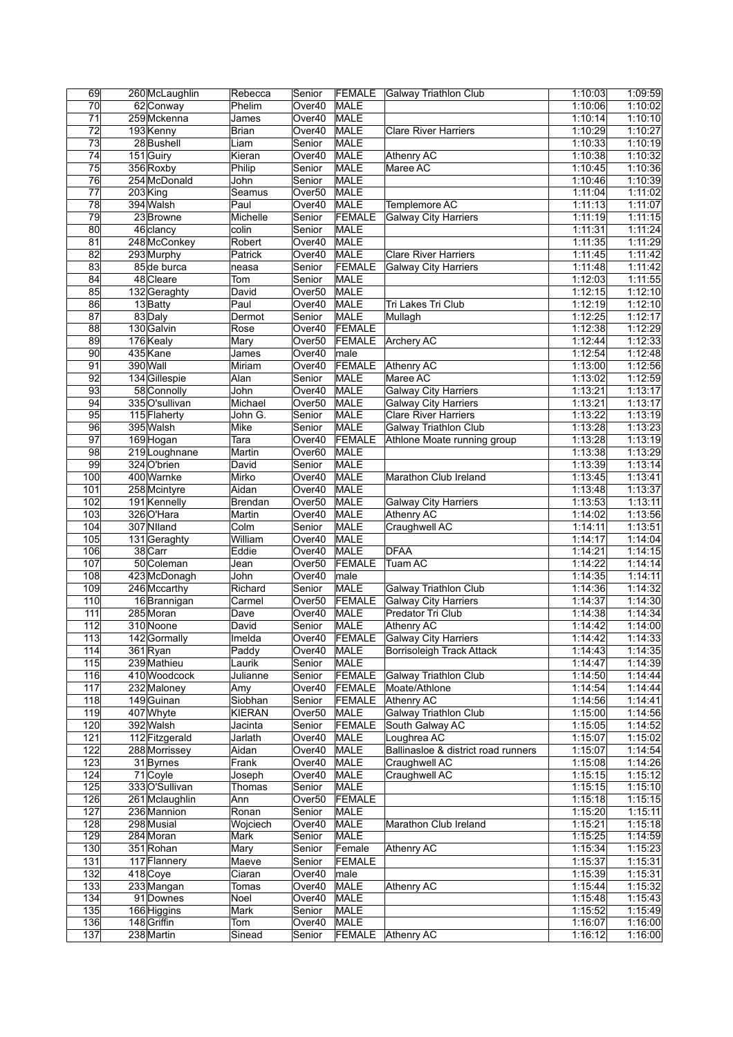| 69              | 260 McLaughlin | Rebecca  | Senior             | FEMALE        | Galway Triathlon Club               | 1:10:03 | 1:09:59 |
|-----------------|----------------|----------|--------------------|---------------|-------------------------------------|---------|---------|
| 70              | 62 Conway      | Phelim   | Over40             | <b>MALE</b>   |                                     | 1:10:06 | 1:10:02 |
| 71              | 259 Mckenna    | James    | Over40             | MALE          |                                     | 1:10:14 | 1:10:10 |
| $\overline{72}$ | 193 Kenny      | Brian    | Over40             | <b>MALE</b>   | <b>Clare River Harriers</b>         | 1:10:29 | 1:10:27 |
| 73              | 28 Bushell     | Liam     | Senior             | MALE          |                                     | 1:10:33 | 1:10:19 |
| 74              | 151 Guiry      | Kieran   | Over40             | MALE          | Athenry AC                          | 1:10:38 | 1:10:32 |
| 75              | 356 Roxby      | Philip   | Senior             | <b>MALE</b>   | Maree AC                            | 1:10:45 | 1:10:36 |
| 76              | 254 McDonald   | John     | Senior             | MALE          |                                     | 1:10:46 | 1:10:39 |
| $\overline{77}$ | 203 King       | Seamus   | Over <sub>50</sub> | MALE          |                                     | 1:11:04 | 1:11:02 |
| 78              | 394 Walsh      | Paul     | Over40             | MALE          | Templemore AC                       | 1:11:13 | 1:11:07 |
| 79              | 23 Browne      | Michelle | Senior             | <b>FEMALE</b> | <b>Galway City Harriers</b>         | 1:11:19 | 1:11:15 |
| 80              | 46 clancy      | colin    | Senior             | MALE          |                                     | 1:11:31 | 1:11:24 |
| 81              | 248 McConkey   | Robert   | Over40             | <b>MALE</b>   |                                     | 1:11:35 | 1:11:29 |
| 82              | 293 Murphy     |          | Over40             | <b>MALE</b>   |                                     |         | 1:11:42 |
|                 |                | Patrick  |                    |               | <b>Clare River Harriers</b>         | 1:11:45 |         |
| 83              | 85 de burca    | neasa    | Senior             | FEMALE        | <b>Galway City Harriers</b>         | 1:11:48 | 1:11:42 |
| 84              | 48 Cleare      | Tom      | Senior             | MALE          |                                     | 1:12:03 | 1:11:55 |
| 85              | 132 Geraghty   | David    | Over50             | MALE          |                                     | 1:12:15 | 1:12:10 |
| 86              | 13Batty        | Paul     | Over40             | MALE          | Tri Lakes Tri Club                  | 1:12:19 | 1:12:10 |
| $\overline{87}$ | 83 Daly        | Dermot   | Senior             | MALE          | Mullagh                             | 1:12:25 | 1:12:17 |
| 88              | 130 Galvin     | Rose     | Over40             | <b>FEMALE</b> |                                     | 1:12:38 | 1:12:29 |
| 89              | 176 Kealy      | Mary     | Over <sub>50</sub> | FEMALE        | <b>Archery AC</b>                   | 1:12:44 | 1:12:33 |
| 90              | 435 Kane       | James    | Over40             | male          |                                     | 1:12:54 | 1:12:48 |
| 91              | 390 Wall       | Miriam   | Over40             | FEMALE        | Athenry AC                          | 1:13:00 | 1:12:56 |
| 92              | 134 Gillespie  | Alan     | Senior             | MALE          | Maree AC                            | 1:13:02 | 1:12:59 |
| 93              | 58 Connolly    | John     | Over40             | MALE          | <b>Galway City Harriers</b>         | 1:13:21 | 1:13:17 |
| 94              | 335 O'sullivan | Michael  | Over <sub>50</sub> | MALE          | <b>Galway City Harriers</b>         | 1:13:21 | 1:13:17 |
| 95              | 115 Flaherty   | John G.  | Senior             | MALE          | <b>Clare River Harriers</b>         | 1:13:22 | 1:13:19 |
| 96              | 395 Walsh      | Mike     | Senior             | MALE          | <b>Galway Triathlon Club</b>        | 1:13:28 | 1:13:23 |
| 97              | 169 Hogan      | Tara     | Over40             | <b>FEMALE</b> | Athlone Moate running group         | 1:13:28 | 1:13:19 |
| 98              | 219 Loughnane  | Martin   | Over <sub>60</sub> | <b>MALE</b>   |                                     | 1:13:38 | 1:13:29 |
| 99              | 324 O'brien    | David    | Senior             | MALE          |                                     | 1:13:39 | 1:13:14 |
| 100             | 400 Warnke     | Mirko    | Over40             | <b>MALE</b>   | Marathon Club Ireland               | 1:13:45 | 1:13:41 |
| 101             | 258 Mcintyre   | Aidan    | Over40             | <b>MALE</b>   |                                     | 1:13:48 | 1:13:37 |
| 102             | 191 Kennelly   | Brendan  | Over <sub>50</sub> | MALE          | <b>Galway City Harriers</b>         | 1:13:53 | 1:13:11 |
| 103             | 326 O'Hara     | Martin   | Over40             | MALE          | Athenry AC                          | 1:14:02 | 1:13:56 |
| 104             | 307 Niland     | Colm     | Senior             | MALE          | Craughwell AC                       | 1:14:11 | 1:13:51 |
| 105             |                | William  | Over40             | <b>MALE</b>   |                                     |         | 1:14:04 |
| 106             | 131 Geraghty   | Eddie    |                    | <b>MALE</b>   | <b>DFAA</b>                         | 1:14:17 | 1:14:15 |
|                 | 38 Carr        |          | Over40             |               |                                     | 1:14:21 |         |
| 107             | 50 Coleman     | Jean     | Over <sub>50</sub> | FEMALE        | Tuam AC                             | 1:14:22 | 1:14:14 |
| 108             | 423 McDonagh   | John     | Over40             | male          |                                     | 1:14:35 | 1:14:11 |
| 109             | 246 Mccarthy   | Richard  | Senior             | MALE          | <b>Galway Triathlon Club</b>        | 1:14:36 | 1:14:32 |
| 110             | 16 Brannigan   | Carmel   | Over <sub>50</sub> | <b>FEMALE</b> | <b>Galway City Harriers</b>         | 1:14:37 | 1:14:30 |
| 111             | 285 Moran      | Dave     | Over40             | MALE          | Predator Tri Club                   | 1:14:38 | 1:14:34 |
| 112             | 310 Noone      | David    | Senior             | MALE          | Athenry AC                          | 1:14:42 | 1:14:00 |
| 113             | 142 Gormally   | Imelda   | Over40             | FEMALE        | <b>Galway City Harriers</b>         | 1:14:42 | 1:14:33 |
| 114             | 361 Ryan       | Paddy    | Over40             | MALE          | Borrisoleigh Track Attack           | 1:14:43 | 1:14:35 |
| 115             | 239 Mathieu    | Laurik   | Senior             | MALE          |                                     | 1:14:47 | 1:14:39 |
| 116             | 410 Woodcock   | Julianne | Senior             | FEMALE        | <b>Galway Triathlon Club</b>        | 1:14:50 | 1:14:44 |
| 117             | 232 Maloney    | Amy      | Over40             | FEMALE        | Moate/Athlone                       | 1:14:54 | 1:14:44 |
| 118             | 149 Guinan     | Siobhan  | Senior             | FEMALE        | Athenry AC                          | 1:14:56 | 1:14:41 |
| 119             | 407 Whyte      | KIERAN   | Over <sub>50</sub> | MALE          | <b>Galway Triathlon Club</b>        | 1:15:00 | 1:14:56 |
| 120             | 392 Walsh      | Jacinta  | Senior             | FEMALE        | South Galway AC                     | 1:15:05 | 1:14:52 |
| 121             | 112 Fitzgerald | Jarlath  | Over40             | MALE          | Loughrea AC                         | 1:15:07 | 1:15:02 |
| 122             | 288 Morrissey  | Aidan    | Over40             | MALE          | Ballinasloe & district road runners | 1:15:07 | 1:14:54 |
| 123             | 31 Byrnes      | Frank    | Over40             | MALE          | Craughwell AC                       | 1:15:08 | 1:14:26 |
| 124             | 71 Coyle       | Joseph   | Over40             | MALE          | Craughwell AC                       | 1:15:15 | 1:15:12 |
| 125             | 333 O'Sullivan | Thomas   | Senior             | MALE          |                                     | 1:15:15 | 1:15:10 |
| 126             | 261 Mclaughlin | Ann      | Over50             | FEMALE        |                                     | 1:15:18 | 1:15:15 |
| 127             | 236 Mannion    | Ronan    | Senior             | MALE          |                                     | 1:15:20 | 1:15:11 |
| 128             | 298 Musial     | Wojciech | Over40             | MALE          | Marathon Club Ireland               | 1:15:21 | 1:15:18 |
| 129             | 284 Moran      | Mark     | Senior             | <b>MALE</b>   |                                     | 1:15:25 | 1:14:59 |
| 130             | 351 Rohan      | Mary     | Senior             | Female        | Athenry AC                          | 1:15:34 | 1:15:23 |
| 131             | 117 Flannery   | Maeve    | Senior             | FEMALE        |                                     | 1:15:37 | 1:15:31 |
| 132             |                |          |                    |               |                                     |         |         |
|                 | 418 Coye       | Ciaran   | Over40             | male          |                                     | 1:15:39 | 1:15:31 |
| 133             | 233 Mangan     | Tomas    | Over40             | MALE          | Athenry AC                          | 1:15:44 | 1:15:32 |
| 134             | 91 Downes      | Noel     | Over40             | MALE          |                                     | 1:15:48 | 1:15:43 |
| 135             | 166 Higgins    | Mark     | Senior             | MALE          |                                     | 1:15:52 | 1:15:49 |
| 136             | 148 Griffin    | Tom      | Over40             | MALE          |                                     | 1:16:07 | 1:16:00 |
| 137             | 238 Martin     | Sinead   | Senior             | FEMALE        | Athenry AC                          | 1:16:12 | 1:16:00 |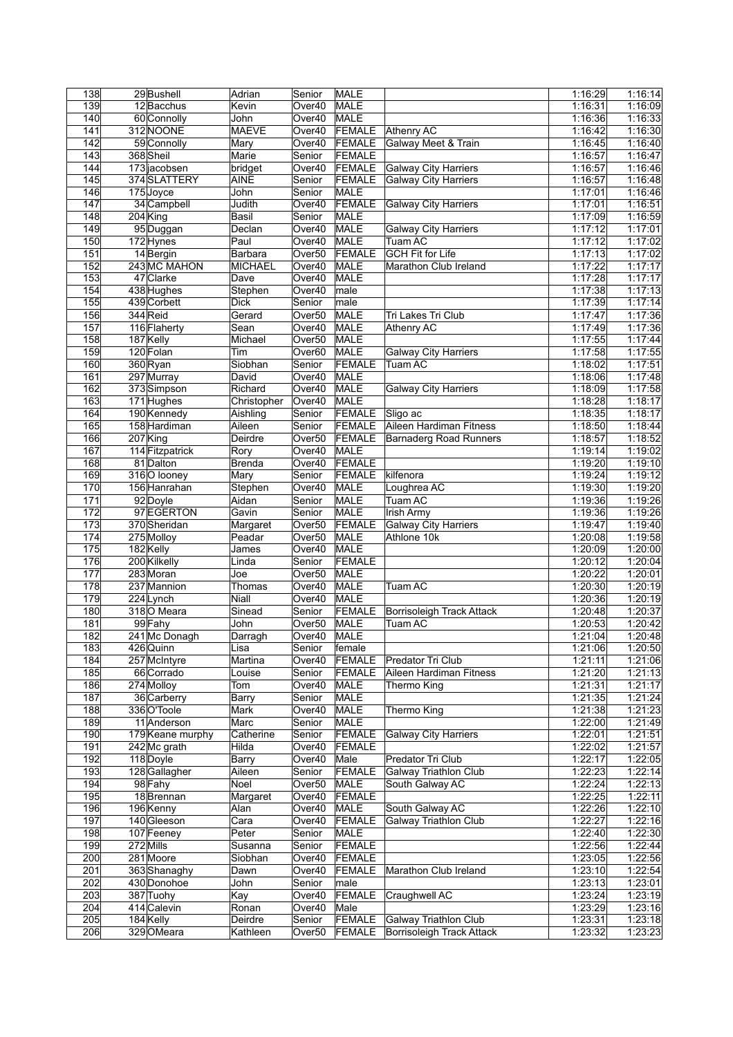| 138              | 29 Bushell       | Adrian          | Senior             | MALE          |                               | 1:16:29            | 1:16:14            |
|------------------|------------------|-----------------|--------------------|---------------|-------------------------------|--------------------|--------------------|
| 139              | 12 Bacchus       | Kevin           | Over40             | MALE          |                               | 1:16:31            | 1:16:09            |
| 140              | 60 Connolly      | John            | Over40             | MALE          |                               | 1:16:36            | 1:16:33            |
| 141              | 312 NOONE        | <b>MAEVE</b>    | Over40             | FEMALE        | Athenry AC                    | 1:16:42            | 1:16:30            |
| 142              | 59 Connolly      | Mary            | Over40             | FEMALE        | Galway Meet & Train           | 1:16:45            | 1:16:40            |
| 143              | 368 Sheil        | Marie           | Senior             | <b>FEMALE</b> |                               | 1:16:57            | 1:16:47            |
| 144              | 173 jacobsen     | bridget         | Over40             | FEMALE        | <b>Galway City Harriers</b>   | 1:16:57            | 1:16:46            |
| 145              | 374 SLATTERY     | <b>AINE</b>     | Senior             | <b>FEMALE</b> | <b>Galway City Harriers</b>   | 1:16:57            | 1:16:48            |
| 146              | 175Joyce         | John            | Senior             | MALE          |                               | 1:17:01            | 1:16:46            |
| 147              | 34 Campbell      | Judith          | Over40             | <b>FEMALE</b> | <b>Galway City Harriers</b>   | 1:17:01            | 1:16:51            |
| 148              | $204$ King       | Basil           | Senior             | MALE          |                               | 1:17:09            | 1:16:59            |
| 149              | 95 Duggan        | Declan          | Over40             | MALE          | <b>Galway City Harriers</b>   | 1:17:12            | 1:17:01            |
| 150              | 172 Hynes        | Paul            | Over40             | <b>MALE</b>   | <b>Tuam AC</b>                | 1:17:12            | 1:17:02            |
| 151              | 14 Bergin        | Barbara         | Over <sub>50</sub> | FEMALE        | <b>GCH Fit for Life</b>       | 1:17:13            | 1:17:02            |
| 152              | 243 MC MAHON     | <b>MICHAEL</b>  | Over40             | MALE          | Marathon Club Ireland         | 1:17:22            | 1:17:17            |
| 153              | 47 Clarke        | Dave            | Over40             | <b>MALE</b>   |                               | 1:17:28            | 1:17:17            |
| 154              | 438 Hughes       | Stephen         | Over40             | male          |                               | 1:17:38            | 1:17:13            |
| 155              | 439 Corbett      | <b>Dick</b>     | Senior             | male          |                               | 1:17:39            | 1:17:14            |
| 156              | 344 Reid         | Gerard          | Over <sub>50</sub> | MALE          | Tri Lakes Tri Club            | 1:17:47            | 1:17:36            |
| 157              | 116 Flaherty     | Sean            | Over40             | MALE          | Athenry AC                    | 1:17:49            | 1:17:36            |
| 158              | 187 Kelly        | Michael         | Over <sub>50</sub> | MALE          |                               | 1:17:55            | 1:17:44            |
| 159              | 120 Folan        | Tim             | Over <sub>60</sub> | MALE          | <b>Galway City Harriers</b>   | 1:17:58            | 1:17:55            |
| 160              | 360 Ryan         | Siobhan         | Senior             | <b>FEMALE</b> | Tuam AC                       | 1:18:02            | 1:17:51            |
| 161              | 297 Murray       | David           | Over40             | MALE          |                               | 1:18:06            | 1:17:48            |
| 162              | 373 Simpson      | Richard         | Over40             | <b>MALE</b>   | <b>Galway City Harriers</b>   | 1:18:09            | 1:17:58            |
| 163              | 171 Hughes       | Christopher     | Over40             | <b>MALE</b>   |                               | 1:18:28            | 1:18:17            |
| 164              | 190 Kennedy      | Aishling        | Senior             | FEMALE        | Sligo ac                      | 1:18:35            | 1:18:17            |
| 165              | 158 Hardiman     | Aileen          | Senior             | FEMALE        | Aileen Hardiman Fitness       | 1:18:50            | 1:18:44            |
| 166              | 207 King         | Deirdre         | Over <sub>50</sub> | FEMALE        | <b>Barnaderg Road Runners</b> | 1:18:57            | 1:18:52            |
| 167              | 114 Fitzpatrick  | Rory            | Over40             | MALE          |                               | 1:19:14            | 1:19:02            |
| 168              | 81 Dalton        | Brenda          | Over40             | FEMALE        |                               | 1:19:20            | 1:19:10            |
| 169              | 316 O looney     | Mary            | Senior             | FEMALE        | kilfenora                     | 1:19:24            | 1:19:12            |
| 170              | 156 Hanrahan     | Stephen         | Over40             | MALE          | Loughrea AC                   | 1:19:30            | 1:19:20            |
| 171              | 92 Doyle         | Aidan           |                    | <b>MALE</b>   | Tuam AC                       |                    | 1:19:26            |
| 172              | 97 EGERTON       | Gavin           | Senior<br>Senior   | <b>MALE</b>   | Irish Army                    | 1:19:36<br>1:19:36 | 1:19:26            |
| 173              | 370 Sheridan     |                 | Over <sub>50</sub> | FEMALE        | <b>Galway City Harriers</b>   | 1:19:47            | 1:19:40            |
| 174              | 275 Molloy       | Margaret        |                    | <b>MALE</b>   | Athlone 10k                   |                    | 1:19:58            |
| 175              | 182 Kelly        | Peadar          | Over <sub>50</sub> | MALE          |                               | 1:20:08            | 1:20:00            |
|                  |                  | James           | Over40             |               |                               | 1:20:09            |                    |
| 176              | 200 Kilkelly     | Linda           | Senior             | FEMALE        |                               | 1:20:12            | 1:20:04            |
| 177              | 283 Moran        | Joe             | Over50             | MALE          |                               | 1:20:22            | 1:20:01<br>1:20:19 |
| 178              | 237 Mannion      | Thomas          | Over40             | <b>MALE</b>   | Tuam AC                       | 1:20:30            |                    |
| 179              | 224 Lynch        | Niall<br>Sinead | Over40             | <b>MALE</b>   |                               | 1:20:36            | 1:20:19            |
| 180              | 318 O Meara      |                 | Senior             | <b>FEMALE</b> | Borrisoleigh Track Attack     | 1:20:48            | 1:20:37<br>1:20:42 |
| 181              | 99 Fahy          | John            | Over <sub>50</sub> | <b>MALE</b>   | Tuam AC                       | 1:20:53            |                    |
| 182              | 241 Mc Donagh    | Darragh         | Over40             | MALE          |                               | 1:21:04            | 1:20:48            |
| 183              | 426 Quinn        | Lisa            | Senior             | female        |                               | 1:21:06            | 1:20:50            |
| 184              | 257 McIntyre     | Martina         | Over40             | FEMALE        | Predator Tri Club             | 1:21:11            | 1:21:06            |
| 185              | 66 Corrado       | Louise          | Senior             | <b>FEMALE</b> | Aileen Hardiman Fitness       | 1:21:20            | 1:21:13            |
| 186              | 274 Molloy       | Tom             | Over40             | <b>MALE</b>   | Thermo King                   | 1:21:31            | 1:21:17            |
| 187              | 36 Carberry      | <b>Barry</b>    | Senior             | MALE          |                               | 1:21:35            | 1:21:24            |
| 188              | 336 O'Toole      | Mark            | Over40             | <b>MALE</b>   | Thermo King                   | 1:21:38            | 1:21:23            |
| 189              | 11 Anderson      | Marc            | Senior             | MALE          |                               | 1:22:00            | 1:21:49            |
| 190              | 179 Keane murphy | Catherine       | Senior             | FEMALE        | <b>Galway City Harriers</b>   | 1:22:01            | 1:21:51            |
| 191              | 242 Mc grath     | Hilda           | Over40             | FEMALE        |                               | 1:22:02            | 1:21:57            |
| 192              | 118 Doyle        | Barry           | Over40             | Male          | Predator Tri Club             | 1:22:17            | 1:22:05            |
| 193              | 128 Gallagher    | Aileen          | Senior             | FEMALE        | Galway Triathlon Club         | 1:22:23            | 1:22:14            |
| 194              | 98 Fahy          | Noel            | Over <sub>50</sub> | MALE          | South Galway AC               | 1:22:24            | 1:22:13            |
| 195              | 18Brennan        | Margaret        | Over40             | FEMALE        |                               | 1:22:25            | 1:22:11            |
| 196              | 196 Kenny        | Alan            | Over40             | <b>MALE</b>   | South Galway AC               | 1:22:26            | 1:22:10            |
| 197              | 140 Gleeson      | Cara            | Over40             | FEMALE        | <b>Galway Triathlon Club</b>  | 1:22:27            | 1:22:16            |
| 198              | 107 Feeney       | Peter           | Senior             | MALE          |                               | 1:22:40            | 1:22:30            |
| 199              | 272 Mills        | Susanna         | Senior             | FEMALE        |                               | 1:22:56            | 1:22:44            |
| 200              | 281 Moore        | Siobhan         | Over40             | FEMALE        |                               | 1:23:05            | 1:22:56            |
| $\overline{201}$ | 363 Shanaghy     | Dawn            | Over40             | FEMALE        | Marathon Club Ireland         | 1:23:10            | 1:22:54            |
| 202              | 430 Donohoe      | John            | Senior             | male          |                               | 1:23:13            | 1:23:01            |
| 203              | 387 Tuohy        | Kay             | Over40             | <b>FEMALE</b> | Craughwell AC                 | 1:23:24            | 1:23:19            |
| 204              | 414 Calevin      | Ronan           | Over40             | Male          |                               | 1:23:29            | 1:23:16            |
| 205              | 184 Kelly        | Deirdre         | Senior             | FEMALE        | Galway Triathlon Club         | 1:23:31            | 1:23:18            |
| 206              | 329 OMeara       | Kathleen        | Over <sub>50</sub> | <b>FEMALE</b> | Borrisoleigh Track Attack     | 1:23:32            | 1:23:23            |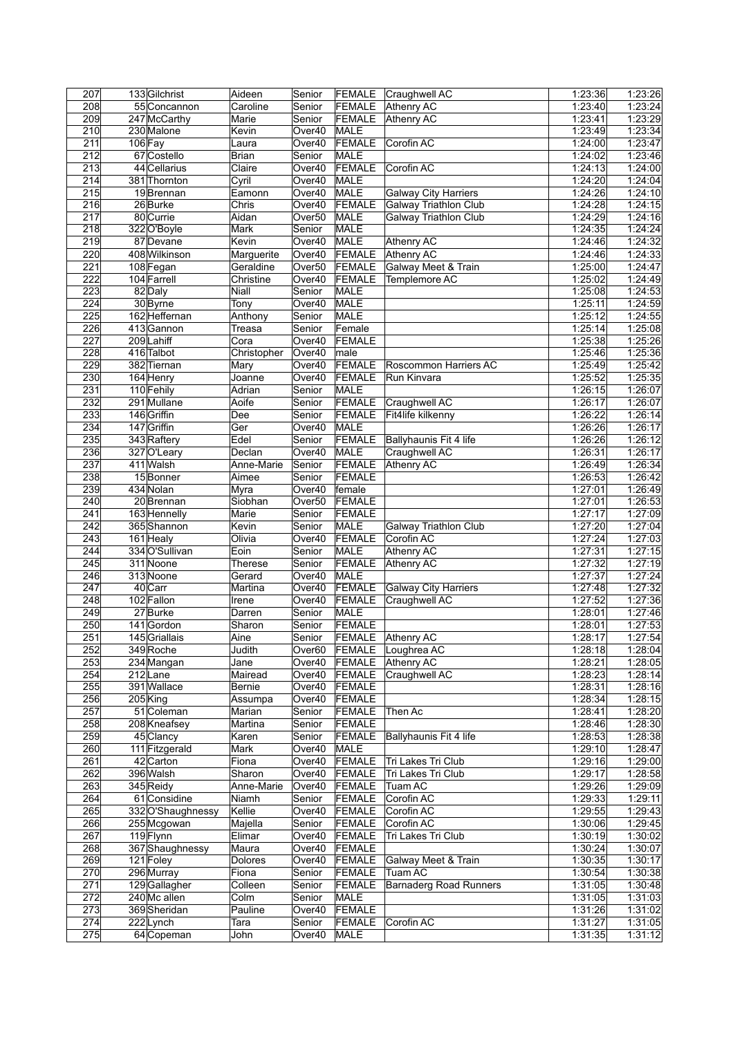| 207              | 133 Gilchrist                | Aideen           | Senior             | FEMALE                         | Craughwell AC                 | 1:23:36            | 1:23:26            |
|------------------|------------------------------|------------------|--------------------|--------------------------------|-------------------------------|--------------------|--------------------|
| 208              | 55 Concannon                 | Caroline         | Senior             | FEMALE                         | <b>Athenry AC</b>             | 1:23:40            | 1:23:24            |
| 209              | 247 McCarthy                 | Marie            | Senior             | FEMALE                         | Athenry AC                    | 1:23:41            | 1:23:29            |
| 210              | 230 Malone                   | Kevin            | Over40             | MALE                           |                               | 1:23:49            | 1:23:34            |
| $\overline{211}$ | $106$ Fay                    | Laura            | Over40             | FEMALE                         | Corofin AC                    | 1:24:00            | 1:23:47            |
| $\overline{212}$ | 67 Costello                  | Brian            | Senior             | MALE                           |                               | 1:24:02            | 1:23:46            |
| 213              | 44 Cellarius                 | Claire           | Over40             | <b>FEMALE</b>                  | Corofin AC                    | 1:24:13            | 1:24:00            |
| 214              | 381 Thornton                 | Cyril            | Over40             | MALE                           |                               | 1:24:20            | 1:24:04            |
| 215              | 19Brennan                    | Eamonn           | Over40             | MALE                           | <b>Galway City Harriers</b>   | 1:24:26            | 1:24:10            |
| 216              | 26Burke                      | Chris            | Over40             | <b>FEMALE</b>                  | <b>Galway Triathlon Club</b>  | 1:24:28            | 1:24:15            |
| 217              | 80 Currie                    | Aidan            | Over <sub>50</sub> | MALE                           | Galway Triathlon Club         | 1:24:29            | 1:24:16            |
| 218              | 322 O'Boyle                  | Mark             | Senior             | MALE                           |                               | 1:24:35            | 1:24:24            |
| $\overline{219}$ | 87 Devane                    | Kevin            | Over40             | MALE                           | <b>Athenry AC</b>             | 1:24:46            | 1:24:32            |
| 220              | 408 Wilkinson                | Marguerite       | Over40             | <b>FEMALE</b>                  | <b>Athenry AC</b>             | 1:24:46            | 1:24:33            |
| 221              | 108 Fegan                    | Geraldine        | Over <sub>50</sub> | FEMALE                         | Galway Meet & Train           | 1:25:00            | 1:24:47            |
| 222              | 104 Farrell                  | Christine        | Over40             | FEMALE                         | Templemore AC                 | 1:25:02            | 1:24:49            |
| 223              | 82Daly                       | Niall            | Senior             | <b>MALE</b>                    |                               | 1:25:08            | 1:24:53            |
| 224              | 30 Byrne                     | Tony             | Over40             | <b>MALE</b>                    |                               | 1:25:11            | 1:24:59            |
| 225              | 162 Heffernan                | Anthony          | Senior             | MALE                           |                               | 1:25:12            | 1:24:55            |
| 226              | 413 Gannon                   | Treasa           | Senior             | Female                         |                               | 1:25:14            | 1:25:08            |
| 227              | 209 Lahiff                   | Cora             | Over40             | FEMALE                         |                               | 1:25:38            | 1:25:26            |
| 228              | 416 Talbot                   | Christopher      | Over40             | male                           |                               | 1:25:46            | 1:25:36            |
| 229              | 382 Tiernan                  | Mary             | Over40             | <b>FEMALE</b>                  | Roscommon Harriers AC         | 1:25:49            | 1:25:42            |
| 230              | 164 Henry                    | Joanne           | Over40             | <b>FEMALE</b>                  | Run Kinvara                   | 1:25:52            | 1:25:35            |
| $\overline{231}$ | 110 Fehily                   | Adrian           | Senior             | MALE                           |                               | 1:26:15            | 1:26:07            |
| 232              | 291 Mullane                  | Aoife            | Senior             | FEMALE                         | Craughwell AC                 |                    | 1:26:07            |
| 233              | 146 Griffin                  | Dee              | Senior             | FEMALE                         | Fit4life kilkenny             | 1:26:17<br>1:26:22 | 1:26:14            |
|                  | 147 Griffin                  |                  |                    |                                |                               |                    |                    |
| 234              |                              | Ger              | Over40             | MALE                           |                               | 1:26:26            | 1:26:17            |
| 235              | 343 Raftery                  | Edel             | Senior             | FEMALE                         | Ballyhaunis Fit 4 life        | 1:26:26            | 1:26:12            |
| 236              | 327 O'Leary                  | Declan           | Over40             | <b>MALE</b>                    | Craughwell AC                 | 1:26:31            | 1:26:17            |
| 237              | 411 Walsh                    | Anne-Marie       | Senior             | FEMALE                         | Athenry AC                    | 1:26:49            | 1:26:34            |
| 238              | 15Bonner                     | Aimee            | Senior             | FEMALE                         |                               | 1:26:53            | 1:26:42            |
| 239              | 434 Nolan                    | Myra             | Over40             | female                         |                               | 1:27:01            | 1:26:49            |
| 240              | 20 Brennan                   | Siobhan          | Over <sub>50</sub> | <b>FEMALE</b>                  |                               | 1:27:01            | 1:26:53            |
| $\overline{241}$ | 163 Hennelly                 | Marie            | Senior             | <b>FEMALE</b>                  |                               | 1:27:17            | 1:27:09            |
| $\overline{242}$ | 365 Shannon                  | Kevin            | Senior             | MALE                           | <b>Galway Triathlon Club</b>  | 1:27:20            | 1:27:04            |
| 243              | 161 Healy                    | Olivia           | Over40             | FEMALE                         | Corofin AC                    | 1:27:24            | 1:27:03            |
| 244              | 334 O'Sullivan               | Eoin             | Senior             | MALE                           | Athenry AC                    | 1:27:31            | 1:27:15            |
| $\overline{245}$ | 311 Noone                    | <b>Therese</b>   | Senior             | FEMALE                         | <b>Athenry AC</b>             | 1:27:32            | 1:27:19            |
| 246              | 313 Noone                    | Gerard           | Over40             | MALE                           |                               | 1:27:37            | 1:27:24            |
| 247              | 40 Carr                      | Martina          | Over40             | FEMALE                         | <b>Galway City Harriers</b>   | 1:27:48            | 1:27:32            |
| 248              | 102 Fallon                   | Irene            | Over40             | FEMALE                         | Craughwell AC                 | 1:27:52            | 1:27:36            |
| 249              | 27 Burke                     | Darren           | Senior             | MALE                           |                               |                    |                    |
| 250              |                              |                  |                    |                                |                               | 1:28:01            | 1:27:46            |
|                  | 141 Gordon                   | Sharon           | Senior             | FEMALE                         |                               | 1:28:01            | 1:27:53            |
| $\overline{251}$ | 145 Griallais                | Aine             | Senior             |                                | <b>FEMALE</b> Athenry AC      | 1:28:17            | 1:27:54            |
| 252              | 349 Roche                    | Judith           | Over60             | FEMALE                         | Loughrea AC                   | 1:28:18            | 1:28:04            |
| 253              | 234 Mangan                   | Jane             | Over40             | FEMALE                         | Athenry AC                    | 1:28:21            | 1:28:05            |
| 254              | 212Lane                      | Mairead          | Over40             | FEMALE                         | Craughwell AC                 | 1:28:23            | 1:28:14            |
| 255              | 391 Wallace                  | Bernie           | Over40             | FEMALE                         |                               | 1:28:31            | 1:28:16            |
| 256              | 205 King                     | Assumpa          | Over40             | FEMALE                         |                               | 1:28:34            | 1:28:15            |
| 257              | 51 Coleman                   | Marian           | Senior             | FEMALE                         | Then Ac                       | 1:28:41            | 1:28:20            |
| 258              | 208 Kneafsey                 | Martina          | Senior             | FEMALE                         |                               | 1:28:46            | 1:28:30            |
| 259              | 45 Clancy                    | Karen            | Senior             | FEMALE                         | Ballyhaunis Fit 4 life        | 1:28:53            | 1:28:38            |
| 260              | 111 Fitzgerald               | Mark             | Over40             | MALE                           |                               | 1:29:10            | 1:28:47            |
| 261              | 42 Carton                    | Fiona            | Over40             | FEMALE                         | Tri Lakes Tri Club            | 1:29:16            | 1:29:00            |
| 262              | 396 Walsh                    | Sharon           | Over40             | FEMALE                         | Tri Lakes Tri Club            | 1:29:17            | 1:28:58            |
| 263              | 345 Reidy                    | Anne-Marie       | Over40             | FEMALE                         | Tuam AC                       | 1:29:26            | 1:29:09            |
| 264              | 61 Considine                 | Niamh            | Senior             | FEMALE                         | Corofin AC                    | 1:29:33            | 1:29:11            |
| 265              | 332 O'Shaughnessy            | Kellie           | Over40             | FEMALE                         | Corofin AC                    | 1:29:55            | 1:29:43            |
| 266              | 255 Mcgowan                  | Majella          | Senior             | FEMALE                         | Corofin AC                    | 1:30:06            | 1:29:45            |
| 267              | 119Flynn                     | Elimar           | Over40             |                                | Tri Lakes Tri Club            | 1:30:19            |                    |
|                  |                              |                  | Over40             | <b>FEMALE</b>                  |                               |                    | 1:30:02            |
| 268<br>269       | 367 Shaughnessy<br>121 Foley | Maura<br>Dolores | Over40             | <b>FEMALE</b><br><b>FEMALE</b> | Galway Meet & Train           | 1:30:24<br>1:30:35 | 1:30:07<br>1:30:17 |
|                  | 296 Murray                   | Fiona            | Senior             |                                | <b>Tuam AC</b>                | 1:30:54            |                    |
| 270              |                              |                  |                    | FEMALE                         |                               |                    | 1:30:38            |
| 271              | 129 Gallagher                | Colleen          | Senior             | FEMALE                         | <b>Barnaderg Road Runners</b> | 1:31:05            | 1:30:48            |
| 272              | 240 Mc allen                 | Colm             | Senior             | MALE                           |                               | 1:31:05            | 1:31:03            |
| 273              | 369 Sheridan                 | Pauline          | Over40             | FEMALE                         |                               | 1:31:26            | 1:31:02            |
| 274<br>275       | 222Lynch<br>64 Copeman       | Tara<br>John     | Senior<br>Over40   | FEMALE<br>MALE                 | Corofin AC                    | 1:31:27<br>1:31:35 | 1:31:05<br>1:31:12 |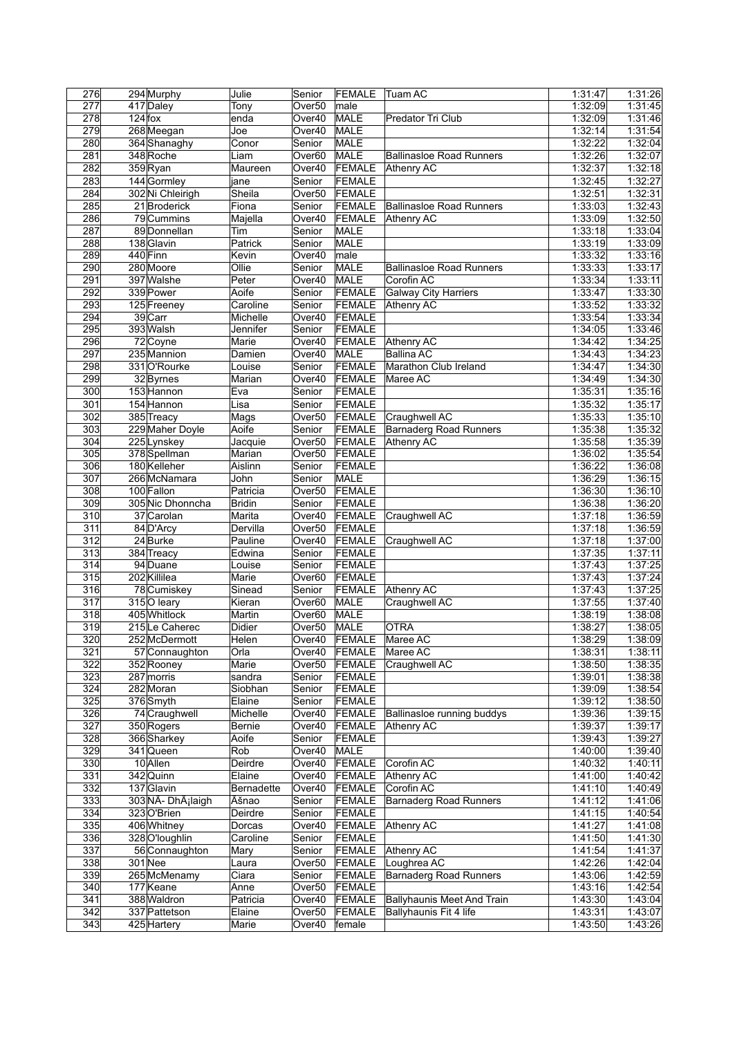| 276              |           | 294 Murphy                     | Julie         | Senior             | <b>FEMALE</b> | Tuam AC                         | 1:31:47 | 1:31:26 |
|------------------|-----------|--------------------------------|---------------|--------------------|---------------|---------------------------------|---------|---------|
| 277              |           | 417 Daley                      | Tony          | Over <sub>50</sub> | male          |                                 | 1:32:09 | 1:31:45 |
| 278              | $124$ fox |                                | enda          | Over40             | MALE          | Predator Tri Club               | 1:32:09 | 1:31:46 |
| 279              |           | 268 Meegan                     | Joe           | Over40             | MALE          |                                 | 1:32:14 | 1:31:54 |
| 280              |           | 364 Shanaghy                   | Conor         | Senior             | MALE          |                                 | 1:32:22 | 1:32:04 |
| 281              |           | 348 Roche                      | Liam          | Over60             | MALE          | <b>Ballinasloe Road Runners</b> | 1:32:26 | 1:32:07 |
|                  |           |                                |               |                    |               |                                 |         |         |
| 282              |           | 359 Ryan                       | Maureen       | Over40             | FEMALE        | Athenry AC                      | 1:32:37 | 1:32:18 |
| 283              |           | 144 Gormley                    | jane          | Senior             | <b>FEMALE</b> |                                 | 1:32:45 | 1:32:27 |
| 284              |           | 302 Ni Chleirigh               | Sheila        | Over <sub>50</sub> | FEMALE        |                                 | 1:32:51 | 1:32:31 |
| 285              |           | 21 Broderick                   | Fiona         | Senior             | FEMALE        | <b>Ballinasloe Road Runners</b> | 1:33:03 | 1:32:43 |
| 286              |           | 79 Cummins                     | Majella       | Over40             | FEMALE        | Athenry AC                      | 1:33:09 | 1:32:50 |
| 287              |           | 89 Donnellan                   | Tim           | Senior             | MALE          |                                 | 1:33:18 | 1:33:04 |
| 288              |           | 138 Glavin                     | Patrick       | Senior             | MALE          |                                 | 1:33:19 | 1:33:09 |
| 289              |           | 440 Finn                       | Kevin         | Over40             | male          |                                 | 1:33:32 | 1:33:16 |
| 290              |           | 280 Moore                      | Ollie         | Senior             | MALE          | <b>Ballinasloe Road Runners</b> | 1:33:33 | 1:33:17 |
| 291              |           | 397 Walshe                     |               |                    |               |                                 |         |         |
|                  |           |                                | Peter         | Over40             | MALE          | Corofin AC                      | 1:33:34 | 1:33:11 |
| 292              |           | 339 Power                      | Aoife         | Senior             | FEMALE        | <b>Galway City Harriers</b>     | 1:33:47 | 1:33:30 |
| 293              |           | 125 Freeney                    | Caroline      | Senior             | FEMALE        | Athenry AC                      | 1:33:52 | 1:33:32 |
| 294              |           | 39 Carr                        | Michelle      | Over40             | <b>FEMALE</b> |                                 | 1:33:54 | 1:33:34 |
| 295              |           | 393 Walsh                      | Jennifer      | Senior             | FEMALE        |                                 | 1:34:05 | 1:33:46 |
| 296              |           | 72 Coyne                       | Marie         | Over40             | FEMALE        | Athenry AC                      | 1:34:42 | 1:34:25 |
| 297              |           | 235 Mannion                    | Damien        | Over40             | MALE          | <b>Ballina AC</b>               | 1:34:43 | 1:34:23 |
| 298              |           | 331 O'Rourke                   | Louise        | Senior             | FEMALE        | Marathon Club Ireland           | 1:34:47 | 1:34:30 |
| 299              |           | 32 Byrnes                      | Marian        | Over40             | <b>FEMALE</b> | Maree AC                        | 1:34:49 | 1:34:30 |
| 300              |           | 153 Hannon                     | Eva           | Senior             | <b>FEMALE</b> |                                 | 1:35:31 | 1:35:16 |
| 301              |           | 154 Hannon                     | Lisa          | Senior             | FEMALE        |                                 | 1:35:32 | 1:35:17 |
|                  |           | 385 Treacy                     |               |                    |               |                                 |         | 1:35:10 |
| 302              |           |                                | Mags          | Over <sub>50</sub> | FEMALE        | Craughwell AC                   | 1:35:33 |         |
| $\overline{303}$ |           | 229 Maher Doyle                | Aoife         | Senior             | FEMALE        | <b>Barnaderg Road Runners</b>   | 1:35:38 | 1:35:32 |
| 304              |           | 225 Lynskey                    | Jacquie       | Over <sub>50</sub> | <b>FEMALE</b> | <b>Athenry AC</b>               | 1:35:58 | 1:35:39 |
| 305              |           | 378 Spellman                   | Marian        | Over <sub>50</sub> | <b>FEMALE</b> |                                 | 1:36:02 | 1:35:54 |
| 306              |           | 180 Kelleher                   | Aislinn       | Senior             | FEMALE        |                                 | 1:36:22 | 1:36:08 |
| 307              |           | 266 McNamara                   | John          | Senior             | MALE          |                                 | 1:36:29 | 1:36:15 |
| 308              |           | 100 Fallon                     | Patricia      | Over <sub>50</sub> | <b>FEMALE</b> |                                 | 1:36:30 | 1:36:10 |
| 309              |           | 305 Nic Dhonncha               | <b>Bridin</b> | Senior             | FEMALE        |                                 | 1:36:38 | 1:36:20 |
| 310              |           | 37 Carolan                     | Marita        | Over40             | FEMALE        | Craughwell AC                   | 1:37:18 | 1:36:59 |
| $\overline{311}$ |           | 84 D'Arcy                      | Dervilla      | Over <sub>50</sub> | FEMALE        |                                 | 1:37:18 | 1:36:59 |
| 312              |           | 24 Burke                       | Pauline       | Over40             | FEMALE        | Craughwell AC                   | 1:37:18 | 1:37:00 |
| 313              |           |                                |               |                    |               |                                 |         |         |
|                  |           | 384 Treacy                     | Edwina        | Senior             | FEMALE        |                                 | 1:37:35 | 1:37:11 |
| $\overline{314}$ |           | 94 Duane                       | Louise        | Senior             | <b>FEMALE</b> |                                 | 1:37:43 | 1:37:25 |
| 315              |           | 202 Killilea                   | Marie         | Over60             | <b>FEMALE</b> |                                 | 1:37:43 | 1:37:24 |
| 316              |           | 78 Cumiskey                    | Sinead        | Senior             | <b>FEMALE</b> | Athenry AC                      | 1:37:43 | 1:37:25 |
| 317              |           | 315 O leary                    | Kieran        | Over <sub>60</sub> | MALE          | Craughwell AC                   | 1:37:55 | 1:37:40 |
| 318              |           | 405 Whitlock                   | Martin        | Over60             | <b>MALE</b>   |                                 | 1:38:19 | 1:38:08 |
| 319              |           | 215Le Caherec                  | Didier        | Over <sub>50</sub> | MALE          | <b>OTRA</b>                     | 1:38:27 | 1:38:05 |
| 320              |           | 252 McDermott                  | Helen         |                    | Over40 FEMALE | Maree AC                        | 1:38:29 | 1:38:09 |
| 321              |           | 57 Connaughton                 | Orla          |                    | Over40 FEMALE | Maree AC                        | 1:38:31 | 1:38:11 |
| 322              |           | 352 Rooney                     | Marie         | Over50             | FEMALE        | Craughwell AC                   | 1:38:50 | 1:38:35 |
| 323              |           | 287 morris                     | sandra        | Senior             | FEMALE        |                                 | 1:39:01 | 1:38:38 |
| 324              |           | 282 Moran                      | Siobhan       | Senior             | FEMALE        |                                 | 1:39:09 | 1:38:54 |
|                  |           |                                |               |                    |               |                                 |         |         |
| 325              |           | 376 Smyth                      | Elaine        | Senior             | FEMALE        |                                 | 1:39:12 | 1:38:50 |
| 326              |           | 74 Craughwell                  | Michelle      | Over40             | FEMALE        | Ballinasloe running buddys      | 1:39:36 | 1:39:15 |
| 327              |           | 350 Rogers                     | Bernie        | Over40             | FEMALE        | Athenry AC                      | 1:39:37 | 1:39:17 |
| 328              |           | 366 Sharkey                    | Aoife         | Senior             | FEMALE        |                                 | 1:39:43 | 1:39:27 |
| 329              |           | 341 Queen                      | Rob           | Over40             | MALE          |                                 | 1:40:00 | 1:39:40 |
| 330              |           | 10 Allen                       | Deirdre       | Over40             | FEMALE        | Corofin AC                      | 1:40:32 | 1:40:11 |
| 331              |           | 342 Quinn                      | Elaine        | Over40             | FEMALE        | <b>Athenry AC</b>               | 1:41:00 | 1:40:42 |
| 332              |           | 137 Glavin                     | Bernadette    | Over40             | FEMALE        | Corofin AC                      | 1:41:10 | 1:40:49 |
| 333              |           | 303 NÃ- DhÂ <sub>i</sub> laigh | Äšnao         | Senior             | FEMALE        | <b>Barnaderg Road Runners</b>   | 1:41:12 | 1:41:06 |
| 334              |           | 323 O'Brien                    | Deirdre       | Senior             | FEMALE        |                                 | 1:41:15 | 1:40:54 |
|                  |           |                                |               |                    |               |                                 |         |         |
| 335              |           | 406 Whitney                    | Dorcas        | Over40             | FEMALE        | Athenry AC                      | 1:41:27 | 1:41:08 |
| 336              |           | 328 O'loughlin                 | Caroline      | Senior             | FEMALE        |                                 | 1:41:50 | 1:41:30 |
| 337              |           | 56 Connaughton                 | Mary          | Senior             | FEMALE        | <b>Athenry AC</b>               | 1:41:54 | 1:41:37 |
| 338              |           | $301$ Nee                      | Laura         | Over <sub>50</sub> | FEMALE        | Loughrea AC                     | 1:42:26 | 1:42:04 |
| 339              |           | 265 McMenamy                   | Ciara         | Senior             | FEMALE        | <b>Barnaderg Road Runners</b>   | 1:43:06 | 1:42:59 |
| 340              |           | 177 Keane                      | Anne          | Over <sub>50</sub> | FEMALE        |                                 | 1:43:16 | 1:42:54 |
| 341              |           | 388 Waldron                    | Patricia      | Over40             | FEMALE        | Ballyhaunis Meet And Train      | 1:43:30 | 1:43:04 |
| 342              |           | 337 Pattetson                  | Elaine        | Over <sub>50</sub> | FEMALE        | Ballyhaunis Fit 4 life          | 1:43:31 | 1:43:07 |
| 343              |           | 425 Hartery                    | Marie         | Over40             | female        |                                 | 1:43:50 | 1:43:26 |
|                  |           |                                |               |                    |               |                                 |         |         |